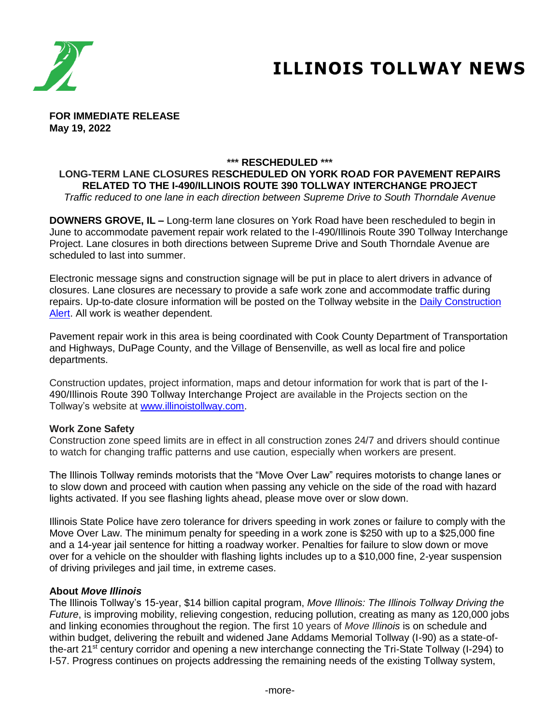

# **ILLINOIS TOLLWAY NEWS**

**FOR IMMEDIATE RELEASE May 19, 2022**

# **\*\*\* RESCHEDULED \*\*\***

### **LONG-TERM LANE CLOSURES RESCHEDULED ON YORK ROAD FOR PAVEMENT REPAIRS RELATED TO THE I-490/ILLINOIS ROUTE 390 TOLLWAY INTERCHANGE PROJECT** *Traffic reduced to one lane in each direction between Supreme Drive to South Thorndale Avenue*

**DOWNERS GROVE, IL –** Long-term lane closures on York Road have been rescheduled to begin in June to accommodate pavement repair work related to the I-490/Illinois Route 390 Tollway Interchange Project. Lane closures in both directions between Supreme Drive and South Thorndale Avenue are scheduled to last into summer.

Electronic message signs and construction signage will be put in place to alert drivers in advance of closures. Lane closures are necessary to provide a safe work zone and accommodate traffic during repairs. Up-to-date closure information will be posted on the Tollway website in the [Daily Construction](https://www.illinoistollway.com/media-center/construction-alerts)  [Alert.](https://www.illinoistollway.com/media-center/construction-alerts) All work is weather dependent.

Pavement repair work in this area is being coordinated with Cook County Department of Transportation and Highways, DuPage County, and the Village of Bensenville, as well as local fire and police departments.

Construction updates, project information, maps and detour information for work that is part of the I-490/Illinois Route 390 Tollway Interchange Project are available in the Projects section on the Tollway's website at [www.illinoistollway.com.](http://www.illinoistollway.com )

#### **Work Zone Safety**

Construction zone speed limits are in effect in all construction zones 24/7 and drivers should continue to watch for changing traffic patterns and use caution, especially when workers are present.

The Illinois Tollway reminds motorists that the "Move Over Law" requires motorists to change lanes or to slow down and proceed with caution when passing any vehicle on the side of the road with hazard lights activated. If you see flashing lights ahead, please move over or slow down.

Illinois State Police have zero tolerance for drivers speeding in work zones or failure to comply with the Move Over Law. The minimum penalty for speeding in a work zone is \$250 with up to a \$25,000 fine and a 14-year jail sentence for hitting a roadway worker. Penalties for failure to slow down or move over for a vehicle on the shoulder with flashing lights includes up to a \$10,000 fine, 2-year suspension of driving privileges and jail time, in extreme cases.

#### **About** *Move Illinois*

The Illinois Tollway's 15-year, \$14 billion capital program, *Move Illinois: The Illinois Tollway Driving the Future*, is improving mobility, relieving congestion, reducing pollution, creating as many as 120,000 jobs and linking economies throughout the region. The first 10 years of *Move Illinois* is on schedule and within budget, delivering the rebuilt and widened Jane Addams Memorial Tollway (I-90) as a state-ofthe-art 21st century corridor and opening a new interchange connecting the Tri-State Tollway (I-294) to I-57. Progress continues on projects addressing the remaining needs of the existing Tollway system,